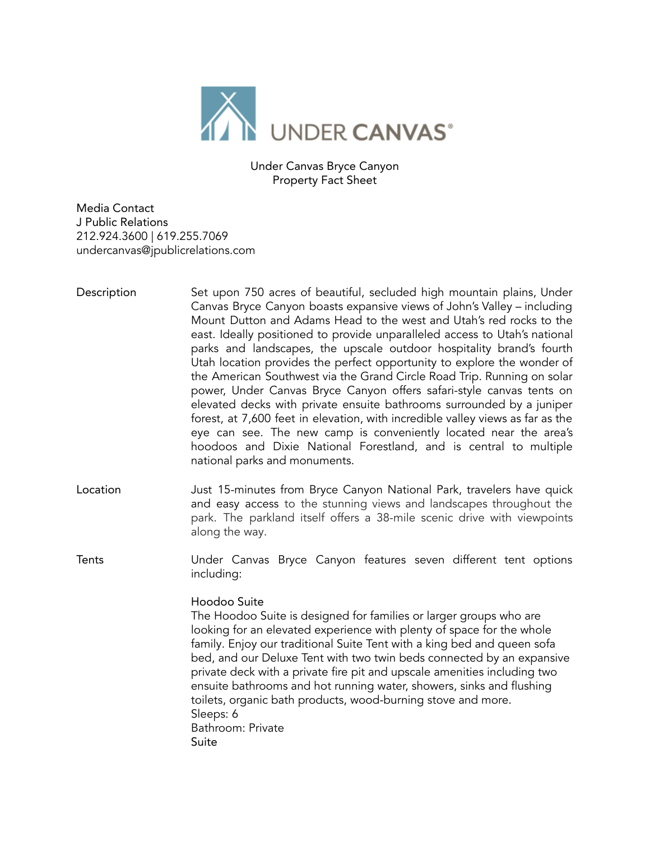

Under Canvas Bryce Canyon Property Fact Sheet

Media Contact J Public Relations 212.924.3600 | 619.255.7069 undercanvas@jpublicrelations.com

- Description Set upon 750 acres of beautiful, secluded high mountain plains, Under Canvas Bryce Canyon boasts expansive views of John's Valley – including Mount Dutton and Adams Head to the west and Utah's red rocks to the east. Ideally positioned to provide unparalleled access to Utah's national parks and landscapes, the upscale outdoor hospitality brand's fourth Utah location provides the perfect opportunity to explore the wonder of the American Southwest via the Grand Circle Road Trip. Running on solar power, Under Canvas Bryce Canyon offers safari-style canvas tents on elevated decks with private ensuite bathrooms surrounded by a juniper forest, at 7,600 feet in elevation, with incredible valley views as far as the eye can see. The new camp is conveniently located near the area's hoodoos and Dixie National Forestland, and is central to multiple national parks and monuments.
- Location **Just 15-minutes from Bryce Canyon National Park**, travelers have quick and easy access to the stunning views and landscapes throughout the park. The parkland itself offers a 38-mile scenic drive with viewpoints along the way.
- Tents Under Canvas Bryce Canyon features seven different tent options including:

## Hoodoo Suite

The Hoodoo Suite is designed for families or larger groups who are looking for an elevated experience with plenty of space for the whole family. Enjoy our traditional Suite Tent with a king bed and queen sofa bed, and our Deluxe Tent with two twin beds connected by an expansive private deck with a private fire pit and upscale amenities including two ensuite bathrooms and hot running water, showers, sinks and flushing toilets, organic bath products, wood-burning stove and more. Sleeps: 6 Bathroom: Private Suite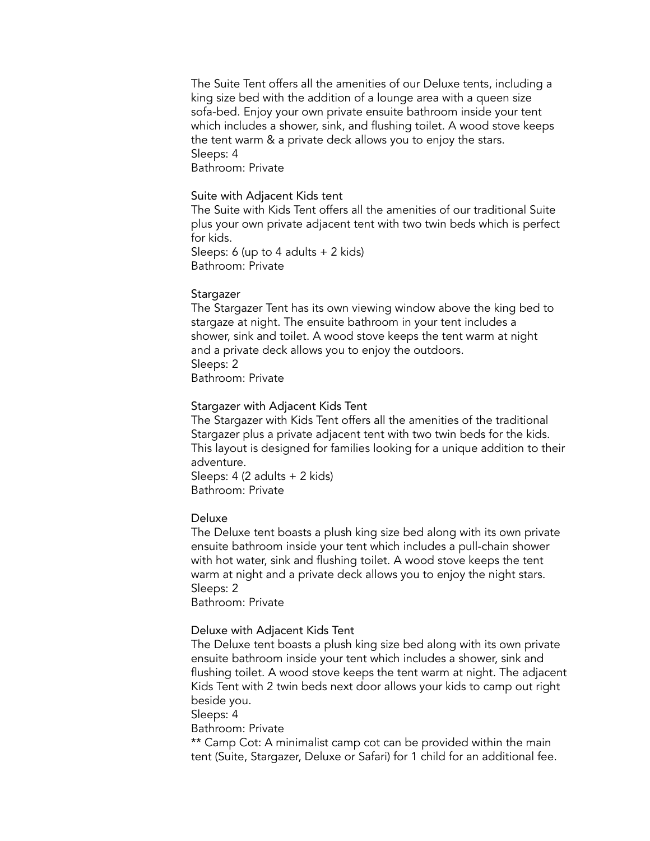The Suite Tent offers all the amenities of our Deluxe tents, including a king size bed with the addition of a lounge area with a queen size sofa-bed. Enjoy your own private ensuite bathroom inside your tent which includes a shower, sink, and flushing toilet. A wood stove keeps the tent warm & a private deck allows you to enjoy the stars. Sleeps: 4

Bathroom: Private

#### Suite with Adjacent Kids tent

The Suite with Kids Tent offers all the amenities of our traditional Suite plus your own private adjacent tent with two twin beds which is perfect for kids.

Sleeps: 6 (up to 4 adults + 2 kids) Bathroom: Private

#### Stargazer

The Stargazer Tent has its own viewing window above the king bed to stargaze at night. The ensuite bathroom in your tent includes a shower, sink and toilet. A wood stove keeps the tent warm at night and a private deck allows you to enjoy the outdoors. Sleeps: 2 Bathroom: Private

#### Stargazer with Adjacent Kids Tent

The Stargazer with Kids Tent offers all the amenities of the traditional Stargazer plus a private adjacent tent with two twin beds for the kids. This layout is designed for families looking for a unique addition to their adventure.

Sleeps: 4 (2 adults + 2 kids) Bathroom: Private

#### Deluxe

The Deluxe tent boasts a plush king size bed along with its own private ensuite bathroom inside your tent which includes a pull-chain shower with hot water, sink and flushing toilet. A wood stove keeps the tent warm at night and a private deck allows you to enjoy the night stars. Sleeps: 2

Bathroom: Private

#### Deluxe with Adjacent Kids Tent

The Deluxe tent boasts a plush king size bed along with its own private ensuite bathroom inside your tent which includes a shower, sink and flushing toilet. A wood stove keeps the tent warm at night. The adjacent Kids Tent with 2 twin beds next door allows your kids to camp out right beside you.

Sleeps: 4

Bathroom: Private

\*\* Camp Cot: A minimalist camp cot can be provided within the main tent (Suite, Stargazer, Deluxe or Safari) for 1 child for an additional fee.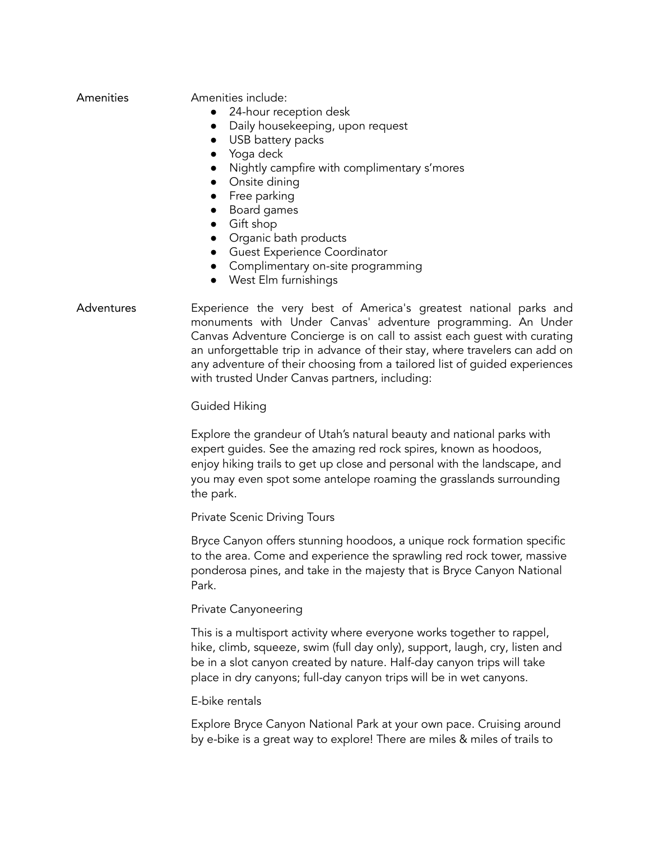| Amenities |  |
|-----------|--|
|           |  |
|           |  |

Amenities include:

- 24-hour reception desk
- Daily housekeeping, upon request
- USB battery packs
- Yoga deck
- Nightly campfire with complimentary s'mores
- Onsite dining
- Free parking
- Board games
- Gift shop
- Organic bath products
- Guest Experience Coordinator
- Complimentary on-site programming
- West Elm furnishings

# Adventures Experience the very best of America's greatest national parks and monuments with Under Canvas' adventure programming. An Under Canvas Adventure Concierge is on call to assist each guest with curating an unforgettable trip in advance of their stay, where travelers can add on any adventure of their choosing from a tailored list of guided experiences with trusted Under Canvas partners, including:

# Guided Hiking

Explore the grandeur of Utah's natural beauty and national parks with expert guides. See the amazing red rock spires, known as hoodoos, enjoy hiking trails to get up close and personal with the landscape, and you may even spot some antelope roaming the grasslands surrounding the park.

Private Scenic Driving Tours

Bryce Canyon offers stunning hoodoos, a unique rock formation specific to the area. Come and experience the sprawling red rock tower, massive ponderosa pines, and take in the majesty that is Bryce Canyon National Park.

## Private Canyoneering

This is a multisport activity where everyone works together to rappel, hike, climb, squeeze, swim (full day only), support, laugh, cry, listen and be in a slot canyon created by nature. Half-day canyon trips will take place in dry canyons; full-day canyon trips will be in wet canyons.

## E-bike rentals

Explore Bryce Canyon National Park at your own pace. Cruising around by e-bike is a great way to explore! There are miles & miles of trails to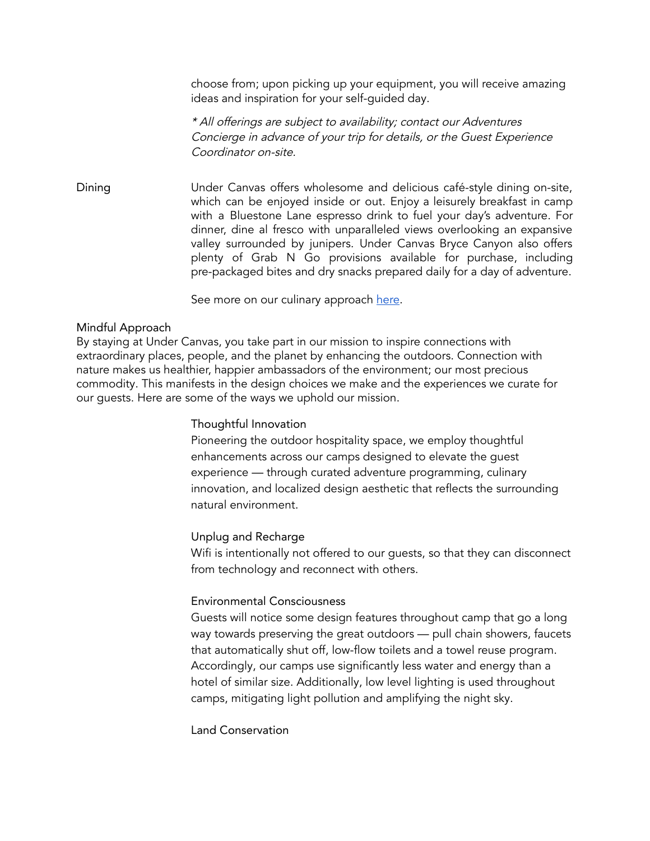choose from; upon picking up your equipment, you will receive amazing ideas and inspiration for your self-guided day.

\* All offerings are subject to availability; contact our Adventures Concierge in advance of your trip for details, or the Guest Experience Coordinator on-site.

Dining Under Canvas offers wholesome and delicious café-style dining on-site, which can be enjoyed inside or out. Enjoy a leisurely breakfast in camp with a Bluestone Lane espresso drink to fuel your day's adventure. For dinner, dine al fresco with unparalleled views overlooking an expansive valley surrounded by junipers. Under Canvas Bryce Canyon also offers plenty of Grab N Go provisions available for purchase, including pre-packaged bites and dry snacks prepared daily for a day of adventure.

See more on our culinary approach [here](https://www.undercanvas.com/culinary/).

## Mindful Approach

By staying at Under Canvas, you take part in our mission to inspire connections with extraordinary places, people, and the planet by enhancing the outdoors. Connection with nature makes us healthier, happier ambassadors of the environment; our most precious commodity. This manifests in the design choices we make and the experiences we curate for our guests. Here are some of the ways we uphold our mission.

## Thoughtful Innovation

Pioneering the outdoor hospitality space, we employ thoughtful enhancements across our camps designed to elevate the guest experience — through curated adventure programming, culinary innovation, and localized design aesthetic that reflects the surrounding natural environment.

## Unplug and Recharge

Wifi is intentionally not offered to our guests, so that they can disconnect from technology and reconnect with others.

# Environmental Consciousness

Guests will notice some design features throughout camp that go a long way towards preserving the great outdoors — pull chain showers, faucets that automatically shut off, low-flow toilets and a towel reuse program. Accordingly, our camps use significantly less water and energy than a hotel of similar size. Additionally, low level lighting is used throughout camps, mitigating light pollution and amplifying the night sky.

Land Conservation